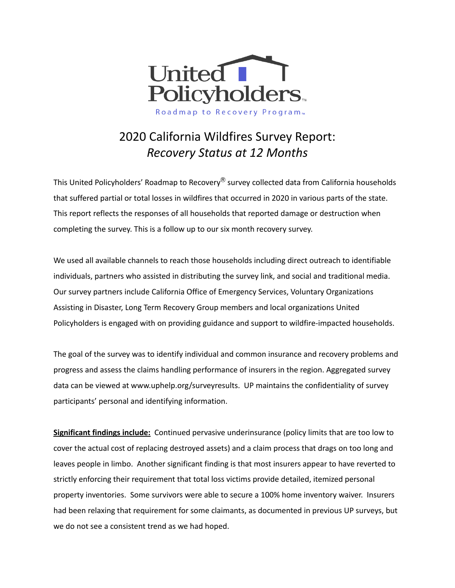

# 2020 California Wildfires Survey Report: *Recovery Status at 12 Months*

This United Policyholders' Roadmap to Recovery<sup>®</sup> survey collected data from California households that suffered partial or total losses in wildfires that occurred in 2020 in various parts of the state. This report reflects the responses of all households that reported damage or destruction when completing the survey. This is a follow up to our six month recovery survey.

We used all available channels to reach those households including direct outreach to identifiable individuals, partners who assisted in distributing the survey link, and social and traditional media. Our survey partners include California Office of Emergency Services, Voluntary Organizations Assisting in Disaster, Long Term Recovery Group members and local organizations United Policyholders is engaged with on providing guidance and support to wildfire-impacted households.

The goal of the survey was to identify individual and common insurance and recovery problems and progress and assess the claims handling performance of insurers in the region. Aggregated survey data can be viewed at [www.uphelp.org/surveyresults](http://www.uphelp.org/surveyresults). UP maintains the confidentiality of survey participants' personal and identifying information.

**Significant findings include:** Continued pervasive underinsurance (policy limits that are too low to cover the actual cost of replacing destroyed assets) and a claim process that drags on too long and leaves people in limbo. Another significant finding is that most insurers appear to have reverted to strictly enforcing their requirement that total loss victims provide detailed, itemized personal property inventories. Some survivors were able to secure a 100% home inventory waiver. Insurers had been relaxing that requirement for some claimants, as documented in previous UP surveys, but we do not see a consistent trend as we had hoped.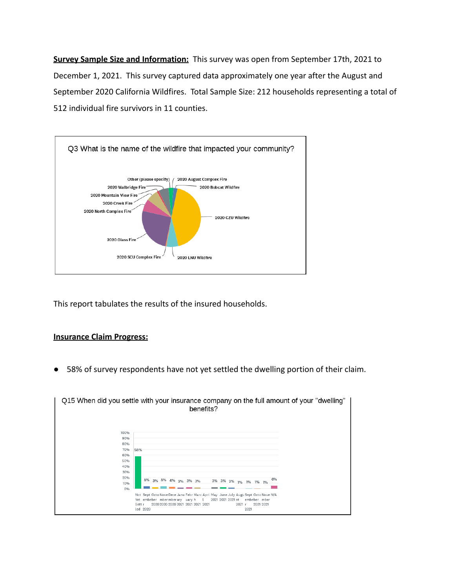**Survey Sample Size and Information:** This survey was open from September 17th, 2021 to December 1, 2021. This survey captured data approximately one year after the August and September 2020 California Wildfires. Total Sample Size: 212 households representing a total of 512 individual fire survivors in 11 counties.



This report tabulates the results of the insured households.

#### **Insurance Claim Progress:**

● 58% of survey respondents have not yet settled the dwelling portion of their claim.

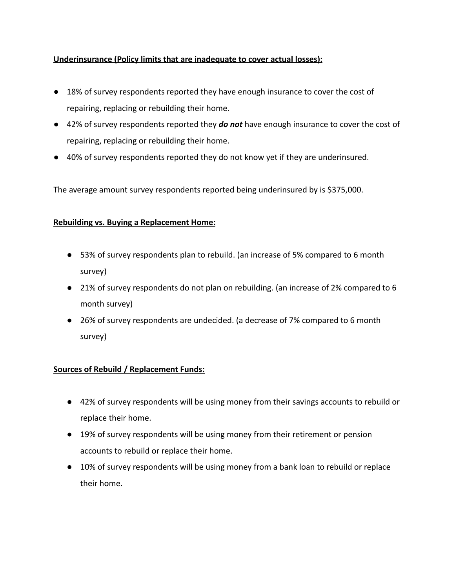# **Underinsurance (Policy limits that are inadequate to cover actual losses):**

- 18% of survey respondents reported they have enough insurance to cover the cost of repairing, replacing or rebuilding their home.
- 42% of survey respondents reported they **do not** have enough insurance to cover the cost of repairing, replacing or rebuilding their home.
- 40% of survey respondents reported they do not know yet if they are underinsured.

The average amount survey respondents reported being underinsured by is \$375,000.

# **Rebuilding vs. Buying a Replacement Home:**

- 53% of survey respondents plan to rebuild. (an increase of 5% compared to 6 month survey)
- 21% of survey respondents do not plan on rebuilding. (an increase of 2% compared to 6 month survey)
- 26% of survey respondents are undecided. (a decrease of 7% compared to 6 month survey)

# **Sources of Rebuild / Replacement Funds:**

- 42% of survey respondents will be using money from their savings accounts to rebuild or replace their home.
- 19% of survey respondents will be using money from their retirement or pension accounts to rebuild or replace their home.
- 10% of survey respondents will be using money from a bank loan to rebuild or replace their home.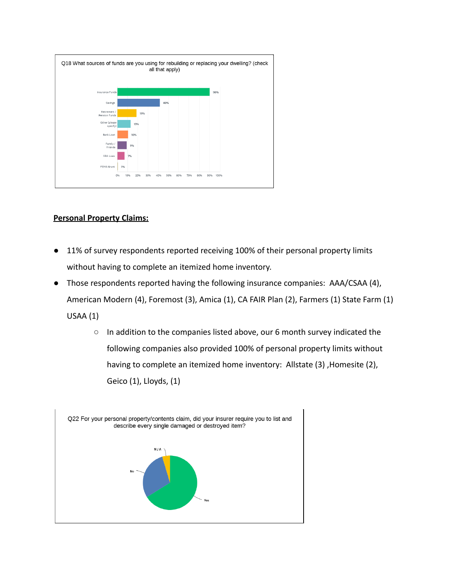

## **Personal Property Claims:**

- 11% of survey respondents reported receiving 100% of their personal property limits without having to complete an itemized home inventory.
- Those respondents reported having the following insurance companies: AAA/CSAA (4), American Modern (4), Foremost (3), Amica (1), CA FAIR Plan (2), Farmers (1) State Farm (1) USAA (1)
	- In addition to the companies listed above, our 6 month survey indicated the following companies also provided 100% of personal property limits without having to complete an itemized home inventory: Allstate (3) ,Homesite (2), Geico (1), Lloyds, (1)

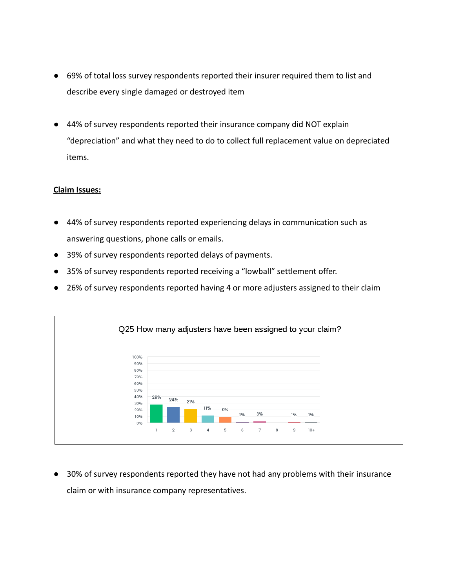- 69% of total loss survey respondents reported their insurer required them to list and describe every single damaged or destroyed item
- 44% of survey respondents reported their insurance company did NOT explain "depreciation" and what they need to do to collect full replacement value on depreciated items.

## **Claim Issues:**

- 44% of survey respondents reported experiencing delays in communication such as answering questions, phone calls or emails.
- 39% of survey respondents reported delays of payments.
- 35% of survey respondents reported receiving a "lowball" settlement offer.
- 26% of survey respondents reported having 4 or more adjusters assigned to their claim



● 30% of survey respondents reported they have not had any problems with their insurance claim or with insurance company representatives.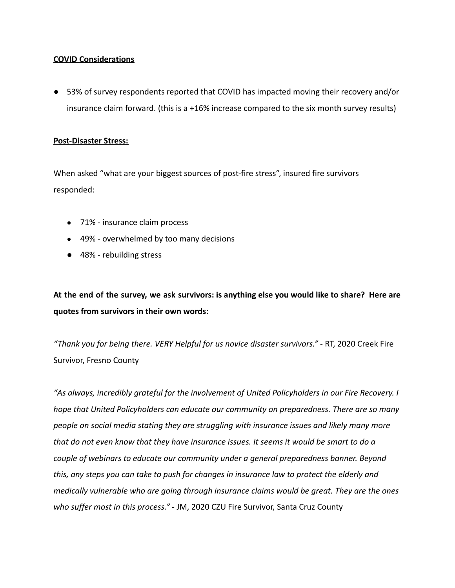#### **COVID Considerations**

● 53% of survey respondents reported that COVID has impacted moving their recovery and/or insurance claim forward. (this is a +16% increase compared to the six month survey results)

#### **Post-Disaster Stress:**

When asked "what are your biggest sources of post-fire stress", insured fire survivors responded:

- 71% insurance claim process
- 49% overwhelmed by too many decisions
- 48% rebuilding stress

At the end of the survey, we ask survivors: is anything else you would like to share? Here are **quotes from survivors in their own words:**

*"Thank you for being there. VERY Helpful for us novice disaster survivors."* - RT, 2020 Creek Fire Survivor, Fresno County

*"As always, incredibly grateful for the involvement of United Policyholders in our Fire Recovery. I hope that United Policyholders can educate our community on preparedness. There are so many people on social media stating they are struggling with insurance issues and likely many more that do not even know that they have insurance issues. It seems it would be smart to do a couple of webinars to educate our community under a general preparedness banner. Beyond this, any steps you can take to push for changes in insurance law to protect the elderly and medically vulnerable who are going through insurance claims would be great. They are the ones who suffer most in this process."* - JM, 2020 CZU Fire Survivor, Santa Cruz County